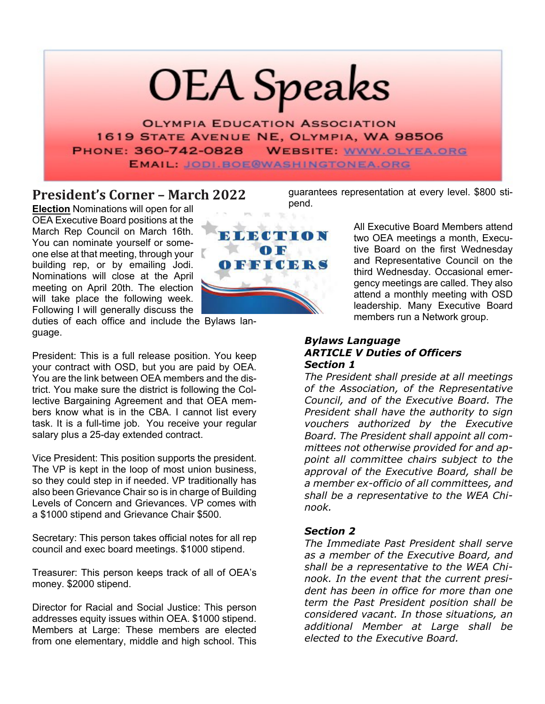# **OEA** Speaks

**OLYMPIA EDUCATION ASSOCIATION** 1619 STATE AVENUE NE, OLYMPIA, WA 98506 PHONE: 360-742-0828 **WEBSITE: WWW.OLYEA.ORG EMAIL: JODI.BOE@WASHINGTONEA.ORG** 

**President's Corner – March 2022**

**Election** Nominations will open for all OEA Executive Board positions at the March Rep Council on March 16th. You can nominate yourself or someone else at that meeting, through your building rep, or by emailing Jodi. Nominations will close at the April meeting on April 20th. The election will take place the following week. Following I will generally discuss the



duties of each office and include the Bylaws language.

President: This is a full release position. You keep your contract with OSD, but you are paid by OEA. You are the link between OEA members and the district. You make sure the district is following the Collective Bargaining Agreement and that OEA members know what is in the CBA. I cannot list every task. It is a full-time job. You receive your regular salary plus a 25-day extended contract.

Vice President: This position supports the president. The VP is kept in the loop of most union business, so they could step in if needed. VP traditionally has also been Grievance Chair so is in charge of Building Levels of Concern and Grievances. VP comes with a \$1000 stipend and Grievance Chair \$500.

Secretary: This person takes official notes for all rep council and exec board meetings. \$1000 stipend.

Treasurer: This person keeps track of all of OEA's money. \$2000 stipend.

Director for Racial and Social Justice: This person addresses equity issues within OEA. \$1000 stipend. Members at Large: These members are elected from one elementary, middle and high school. This

guarantees representation at every level. \$800 stipend.

> All Executive Board Members attend two OEA meetings a month, Executive Board on the first Wednesday and Representative Council on the third Wednesday. Occasional emergency meetings are called. They also attend a monthly meeting with OSD leadership. Many Executive Board members run a Network group.

#### *Bylaws Language ARTICLE V Duties of Officers Section 1*

*The President shall preside at all meetings of the Association, of the Representative Council, and of the Executive Board. The President shall have the authority to sign vouchers authorized by the Executive Board. The President shall appoint all committees not otherwise provided for and appoint all committee chairs subject to the approval of the Executive Board, shall be a member ex-officio of all committees, and shall be a representative to the WEA Chinook.*

#### *Section 2*

*The Immediate Past President shall serve as a member of the Executive Board, and shall be a representative to the WEA Chinook. In the event that the current president has been in office for more than one term the Past President position shall be considered vacant. In those situations, an additional Member at Large shall be elected to the Executive Board.*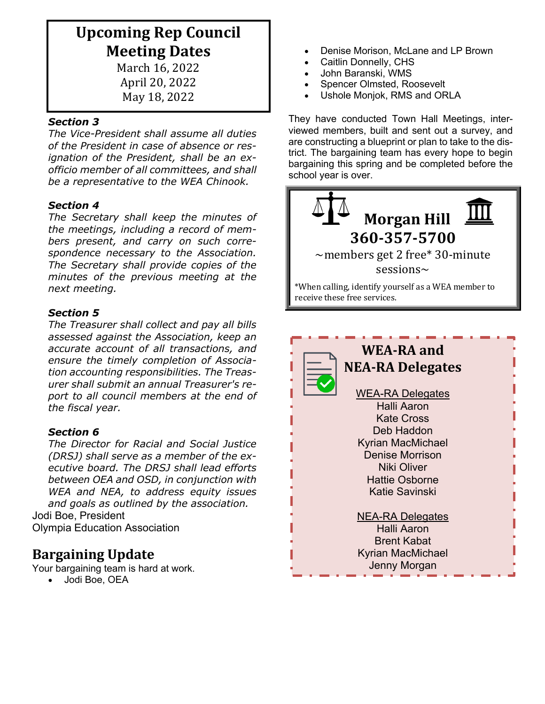# **Upcoming Rep Council Meeting Dates**

March 16, 2022 April 20, 2022 May 18, 2022

#### *Section 3*

*The Vice-President shall assume all duties of the President in case of absence or resignation of the President, shall be an exofficio member of all committees, and shall be a representative to the WEA Chinook.*

#### *Section 4*

*The Secretary shall keep the minutes of the meetings, including a record of members present, and carry on such correspondence necessary to the Association. The Secretary shall provide copies of the minutes of the previous meeting at the next meeting.*

#### *Section 5*

*The Treasurer shall collect and pay all bills assessed against the Association, keep an accurate account of all transactions, and ensure the timely completion of Association accounting responsibilities. The Treasurer shall submit an annual Treasurer's report to all council members at the end of the fiscal year.*

#### *Section 6*

*The Director for Racial and Social Justice (DRSJ) shall serve as a member of the executive board. The DRSJ shall lead efforts between OEA and OSD, in conjunction with WEA and NEA, to address equity issues and goals as outlined by the association.* Jodi Boe, President Olympia Education Association

### **Bargaining Update**

Your bargaining team is hard at work.

• Jodi Boe, OEA

- Denise Morison, McLane and LP Brown
- Caitlin Donnelly, CHS
- John Baranski, WMS
- Spencer Olmsted, Roosevelt
- Ushole Monjok, RMS and ORLA

They have conducted Town Hall Meetings, interviewed members, built and sent out a survey, and are constructing a blueprint or plan to take to the district. The bargaining team has every hope to begin bargaining this spring and be completed before the school year is over.